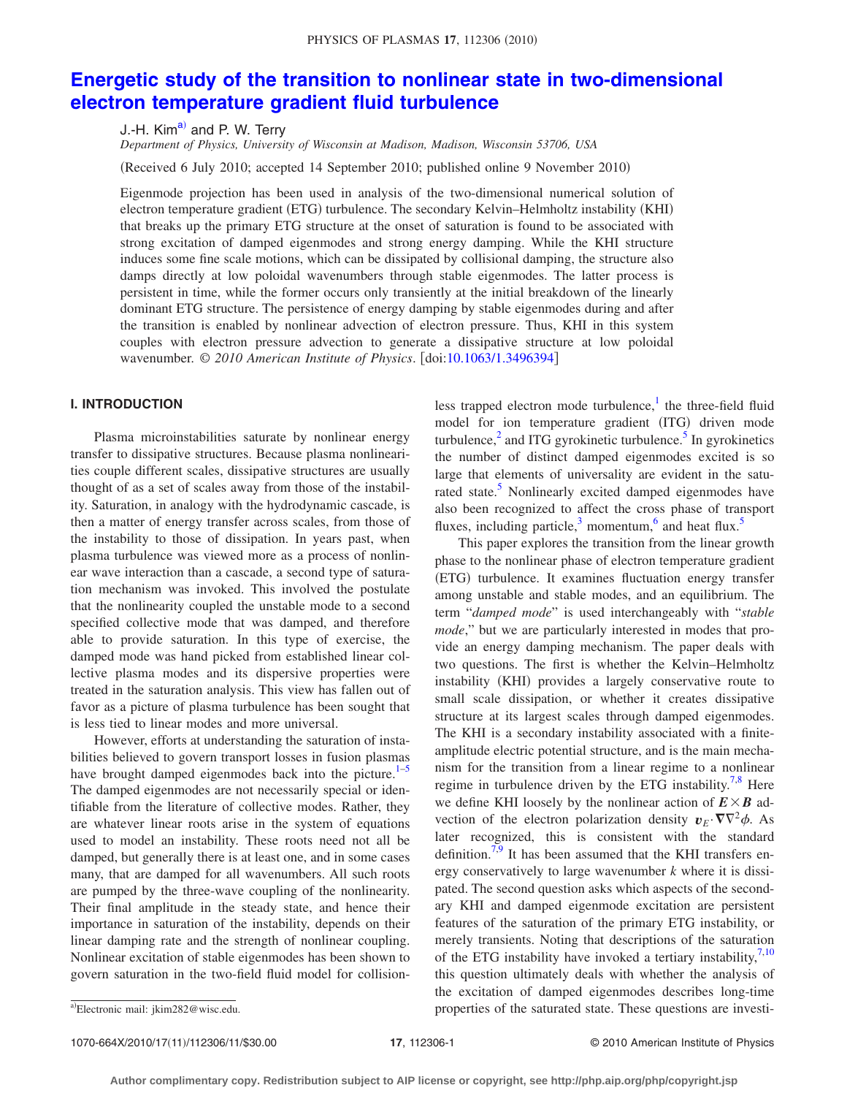# **[Energetic study of the transition to nonlinear state in two-dimensional](http://dx.doi.org/10.1063/1.3496394) [electron temperature gradient fluid turbulence](http://dx.doi.org/10.1063/1.3496394)**

J.-H. Kim<sup>a)</sup> and P. W. Terry

*Department of Physics, University of Wisconsin at Madison, Madison, Wisconsin 53706, USA*

(Received 6 July 2010; accepted 14 September 2010; published online 9 November 2010)

Eigenmode projection has been used in analysis of the two-dimensional numerical solution of electron temperature gradient (ETG) turbulence. The secondary Kelvin-Helmholtz instability (KHI) that breaks up the primary ETG structure at the onset of saturation is found to be associated with strong excitation of damped eigenmodes and strong energy damping. While the KHI structure induces some fine scale motions, which can be dissipated by collisional damping, the structure also damps directly at low poloidal wavenumbers through stable eigenmodes. The latter process is persistent in time, while the former occurs only transiently at the initial breakdown of the linearly dominant ETG structure. The persistence of energy damping by stable eigenmodes during and after the transition is enabled by nonlinear advection of electron pressure. Thus, KHI in this system couples with electron pressure advection to generate a dissipative structure at low poloidal wavenumber. © 2010 American Institute of Physics. [doi[:10.1063/1.3496394](http://dx.doi.org/10.1063/1.3496394)]

## **I. INTRODUCTION**

Plasma microinstabilities saturate by nonlinear energy transfer to dissipative structures. Because plasma nonlinearities couple different scales, dissipative structures are usually thought of as a set of scales away from those of the instability. Saturation, in analogy with the hydrodynamic cascade, is then a matter of energy transfer across scales, from those of the instability to those of dissipation. In years past, when plasma turbulence was viewed more as a process of nonlinear wave interaction than a cascade, a second type of saturation mechanism was invoked. This involved the postulate that the nonlinearity coupled the unstable mode to a second specified collective mode that was damped, and therefore able to provide saturation. In this type of exercise, the damped mode was hand picked from established linear collective plasma modes and its dispersive properties were treated in the saturation analysis. This view has fallen out of favor as a picture of plasma turbulence has been sought that is less tied to linear modes and more universal.

However, efforts at understanding the saturation of instabilities believed to govern transport losses in fusion plasmas have brought damped eigenmodes back into the picture. $1-5$  $1-5$ The damped eigenmodes are not necessarily special or identifiable from the literature of collective modes. Rather, they are whatever linear roots arise in the system of equations used to model an instability. These roots need not all be damped, but generally there is at least one, and in some cases many, that are damped for all wavenumbers. All such roots are pumped by the three-wave coupling of the nonlinearity. Their final amplitude in the steady state, and hence their importance in saturation of the instability, depends on their linear damping rate and the strength of nonlinear coupling. Nonlinear excitation of stable eigenmodes has been shown to govern saturation in the two-field fluid model for collisionless trapped electron mode turbulence, $\frac{1}{k}$  the three-field fluid model for ion temperature gradient (ITG) driven mode turbulence, $<sup>2</sup>$  and ITG gyrokinetic turbulence.<sup>5</sup> In gyrokinetics</sup> the number of distinct damped eigenmodes excited is so large that elements of universality are evident in the saturated state.<sup>5</sup> Nonlinearly excited damped eigenmodes have also been recognized to affect the cross phase of transport fluxes, including particle, $3$  momentum, $6$  and heat flux.<sup>5</sup>

This paper explores the transition from the linear growth phase to the nonlinear phase of electron temperature gradient (ETG) turbulence. It examines fluctuation energy transfer among unstable and stable modes, and an equilibrium. The term "*damped mode*" is used interchangeably with "*stable mode*," but we are particularly interested in modes that provide an energy damping mechanism. The paper deals with two questions. The first is whether the Kelvin–Helmholtz instability (KHI) provides a largely conservative route to small scale dissipation, or whether it creates dissipative structure at its largest scales through damped eigenmodes. The KHI is a secondary instability associated with a finiteamplitude electric potential structure, and is the main mechanism for the transition from a linear regime to a nonlinear regime in turbulence driven by the ETG instability.<sup>7[,8](#page-10-6)</sup> Here we define KHI loosely by the nonlinear action of  $E \times B$  advection of the electron polarization density  $v_E \cdot \nabla \nabla^2 \phi$ . As later recognized, this is consistent with the standard definition.<sup>7[,9](#page-10-7)</sup> It has been assumed that the KHI transfers energy conservatively to large wavenumber *k* where it is dissipated. The second question asks which aspects of the secondary KHI and damped eigenmode excitation are persistent features of the saturation of the primary ETG instability, or merely transients. Noting that descriptions of the saturation of the ETG instability have invoked a tertiary instability, $7,10$  $7,10$ this question ultimately deals with whether the analysis of the excitation of damped eigenmodes describes long-time properties of the saturated state. These questions are investi-

1070-664X/2010/17(11)/112306/11/\$30.00

<span id="page-0-0"></span>a)Electronic mail: jkim282@wisc.edu.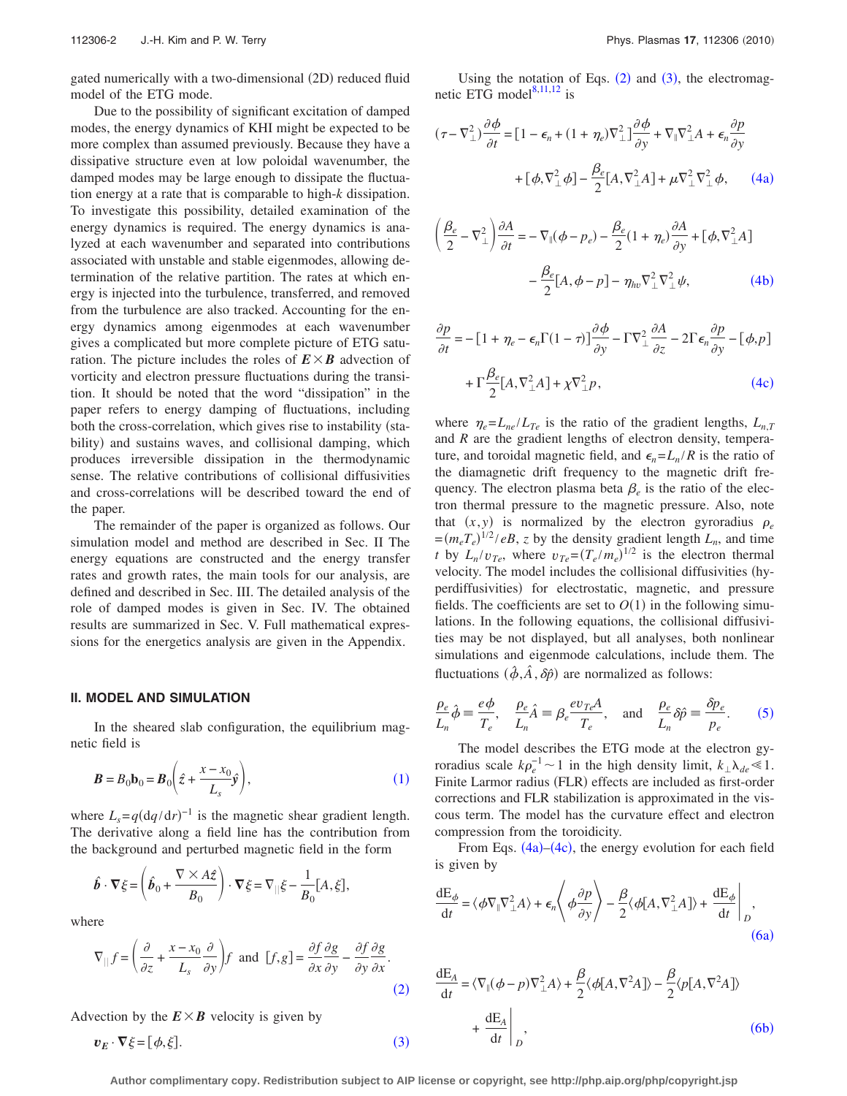gated numerically with a two-dimensional (2D) reduced fluid model of the ETG mode.

Due to the possibility of significant excitation of damped modes, the energy dynamics of KHI might be expected to be more complex than assumed previously. Because they have a dissipative structure even at low poloidal wavenumber, the damped modes may be large enough to dissipate the fluctuation energy at a rate that is comparable to high-*k* dissipation. To investigate this possibility, detailed examination of the energy dynamics is required. The energy dynamics is analyzed at each wavenumber and separated into contributions associated with unstable and stable eigenmodes, allowing determination of the relative partition. The rates at which energy is injected into the turbulence, transferred, and removed from the turbulence are also tracked. Accounting for the energy dynamics among eigenmodes at each wavenumber gives a complicated but more complete picture of ETG saturation. The picture includes the roles of  $E \times B$  advection of vorticity and electron pressure fluctuations during the transition. It should be noted that the word "dissipation" in the paper refers to energy damping of fluctuations, including both the cross-correlation, which gives rise to instability (stability) and sustains waves, and collisional damping, which produces irreversible dissipation in the thermodynamic sense. The relative contributions of collisional diffusivities and cross-correlations will be described toward the end of the paper.

The remainder of the paper is organized as follows. Our simulation model and method are described in Sec. II The energy equations are constructed and the energy transfer rates and growth rates, the main tools for our analysis, are defined and described in Sec. III. The detailed analysis of the role of damped modes is given in Sec. IV. The obtained results are summarized in Sec. V. Full mathematical expressions for the energetics analysis are given in the Appendix.

#### **II. MODEL AND SIMULATION**

In the sheared slab configuration, the equilibrium magnetic field is

<span id="page-1-0"></span>
$$
\boldsymbol{B} = B_0 \mathbf{b}_0 = \boldsymbol{B}_0 \left( \hat{z} + \frac{x - x_0}{L_s} \hat{y} \right), \tag{1}
$$

where  $L_s = q \left(\frac{dq}{dr}\right)^{-1}$  is the magnetic shear gradient length. The derivative along a field line has the contribution from the background and perturbed magnetic field in the form

$$
\hat{\boldsymbol{b}} \cdot \nabla \xi = \left( \hat{\boldsymbol{b}}_0 + \frac{\nabla \times A\hat{z}}{B_0} \right) \cdot \nabla \xi = \nabla_{||} \xi - \frac{1}{B_0} [A, \xi],
$$

<span id="page-1-1"></span>where

$$
\nabla_{||} f = \left(\frac{\partial}{\partial z} + \frac{x - x_0}{L_s} \frac{\partial}{\partial y}\right) f \text{ and } [f, g] = \frac{\partial f}{\partial x} \frac{\partial g}{\partial y} - \frac{\partial f}{\partial y} \frac{\partial g}{\partial x}.
$$
\n(2)

<span id="page-1-2"></span>Advection by the  $E \times B$  velocity is given by

$$
\boldsymbol{v}_E \cdot \boldsymbol{\nabla} \xi = [\phi, \xi]. \tag{3}
$$

Using the notation of Eqs.  $(2)$  $(2)$  $(2)$  and  $(3)$  $(3)$  $(3)$ , the electromagnetic ETG model $8,11,12$  $8,11,12$  $8,11,12$  is

<span id="page-1-3"></span>
$$
(\tau - \nabla_{\perp}^{2}) \frac{\partial \phi}{\partial t} = \left[1 - \epsilon_{n} + (1 + \eta_{e})\nabla_{\perp}^{2}\right] \frac{\partial \phi}{\partial y} + \nabla_{\parallel} \nabla_{\perp}^{2} A + \epsilon_{n} \frac{\partial p}{\partial y}
$$

$$
+ \left[\phi, \nabla_{\perp}^{2} \phi\right] - \frac{\beta_{e}}{2} [A, \nabla_{\perp}^{2} A] + \mu \nabla_{\perp}^{2} \nabla_{\perp}^{2} \phi, \qquad (4a)
$$

<span id="page-1-4"></span>
$$
\left(\frac{\beta_e}{2} - \nabla_{\perp}^2\right) \frac{\partial A}{\partial t} = -\nabla_{\parallel}(\phi - p_e) - \frac{\beta_e}{2} (1 + \eta_e) \frac{\partial A}{\partial y} + \left[\phi, \nabla_{\perp}^2 A\right] - \frac{\beta_e}{2} [A, \phi - p] - \eta_{hv} \nabla_{\perp}^2 \nabla_{\perp}^2 \psi,
$$
\n(4b)

<span id="page-1-5"></span>
$$
\frac{\partial p}{\partial t} = -[1 + \eta_e - \epsilon_n \Gamma(1 - \tau)] \frac{\partial \phi}{\partial y} - \Gamma \nabla^2_{\perp} \frac{\partial A}{\partial z} - 2 \Gamma \epsilon_n \frac{\partial p}{\partial y} - [\phi, p]
$$

$$
+ \Gamma \frac{\beta_e}{2} [A, \nabla^2_{\perp} A] + \chi \nabla^2_{\perp} p, \tag{4c}
$$

where  $\eta_e = L_{ne}/L_{T_e}$  is the ratio of the gradient lengths,  $L_{nT}$ and *R* are the gradient lengths of electron density, temperature, and toroidal magnetic field, and  $\epsilon_n = L_n / R$  is the ratio of the diamagnetic drift frequency to the magnetic drift frequency. The electron plasma beta  $\beta_e$  is the ratio of the electron thermal pressure to the magnetic pressure. Also, note that  $(x, y)$  is normalized by the electron gyroradius  $\rho_e$  $=(m_e T_e)^{1/2} / eB$ , *z* by the density gradient length  $L_n$ , and time *t* by  $L_n/v_{Te}$ , where  $v_{Te} = (T_e/m_e)^{1/2}$  is the electron thermal velocity. The model includes the collisional diffusivities (hyperdiffusivities) for electrostatic, magnetic, and pressure fields. The coefficients are set to  $O(1)$  in the following simulations. In the following equations, the collisional diffusivities may be not displayed, but all analyses, both nonlinear simulations and eigenmode calculations, include them. The fluctuations  $(\hat{\phi}, \hat{A}, \delta \hat{\rho})$  are normalized as follows:

<span id="page-1-6"></span>
$$
\frac{\rho_e}{L_n}\hat{\phi} \equiv \frac{e\phi}{T_e}, \quad \frac{\rho_e}{L_n}\hat{A} \equiv \beta_e \frac{e v_{Te}A}{T_e}, \quad \text{and} \quad \frac{\rho_e}{L_n}\delta\hat{p} \equiv \frac{\delta p_e}{p_e}.\tag{5}
$$

The model describes the ETG mode at the electron gyroradius scale  $k\rho_e^{-1} \sim 1$  in the high density limit,  $k_\perp \lambda_{de} \ll 1$ . Finite Larmor radius (FLR) effects are included as first-order corrections and FLR stabilization is approximated in the viscous term. The model has the curvature effect and electron compression from the toroidicity.

From Eqs.  $(4a)$  $(4a)$  $(4a)$ – $(4c)$  $(4c)$  $(4c)$ , the energy evolution for each field is given by

<span id="page-1-7"></span>
$$
\frac{dE_{\phi}}{dt} = \langle \phi \nabla_{\parallel} \nabla_{\perp}^{2} A \rangle + \epsilon_{n} \langle \phi \frac{\partial p}{\partial y} \rangle - \frac{\beta}{2} \langle \phi [A, \nabla_{\perp}^{2} A] \rangle + \frac{dE_{\phi}}{dt} \bigg|_{D},
$$
\n(6a)

<span id="page-1-8"></span>
$$
\frac{dE_A}{dt} = \langle \nabla_{\parallel} (\phi - p) \nabla_{\perp}^2 A \rangle + \frac{\beta}{2} \langle \phi[A, \nabla^2 A] \rangle - \frac{\beta}{2} \langle p[A, \nabla^2 A] \rangle
$$
  
+ 
$$
\frac{dE_A}{dt} \bigg|_D,
$$
 (6b)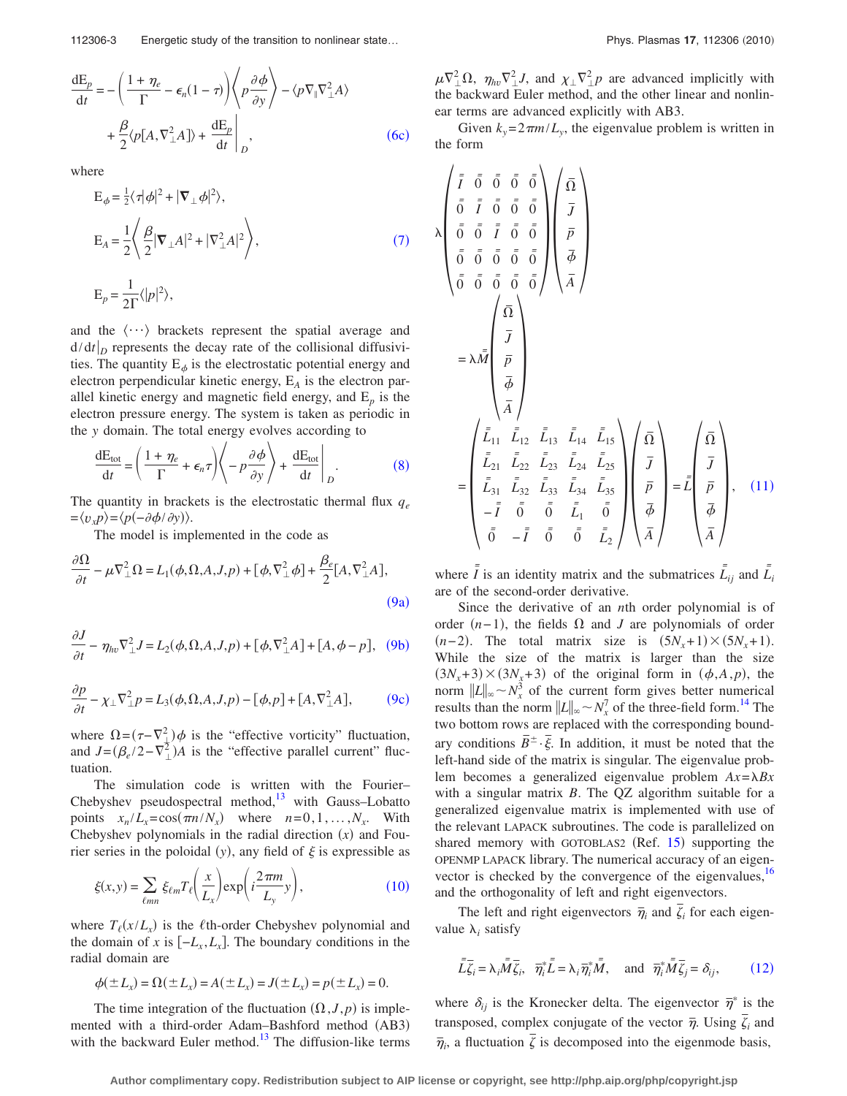<span id="page-2-0"></span>
$$
\frac{dE_p}{dt} = -\left(\frac{1+\eta_e}{\Gamma} - \epsilon_n(1-\tau)\right) \left\langle p\frac{\partial\phi}{\partial y} \right\rangle - \langle p\nabla_{\parallel}\nabla_{\perp}^2 A \rangle + \frac{\beta}{2} \langle p[A, \nabla_{\perp}^2 A] \rangle + \frac{dE_p}{dt} \bigg|_D, \tag{6c}
$$

<span id="page-2-1"></span>where

$$
E_{\phi} = \frac{1}{2} \langle \tau | \phi |^2 + | \nabla_{\perp} \phi |^2 \rangle,
$$
  
\n
$$
E_A = \frac{1}{2} \langle \frac{\beta}{2} | \nabla_{\perp} A |^2 + | \nabla_{\perp}^2 A |^2 \rangle,
$$
  
\n
$$
E_p = \frac{1}{2\Gamma} \langle |p|^2 \rangle,
$$
\n(7)

and the  $\langle \cdots \rangle$  brackets represent the spatial average and  $d/dt|_D$  represents the decay rate of the collisional diffusivities. The quantity  $E_{\phi}$  is the electrostatic potential energy and electron perpendicular kinetic energy, E*<sup>A</sup>* is the electron parallel kinetic energy and magnetic field energy, and  $E_p$  is the electron pressure energy. The system is taken as periodic in the *y* domain. The total energy evolves according to

<span id="page-2-2"></span>
$$
\frac{dE_{\text{tot}}}{dt} = \left(\frac{1+\eta_e}{\Gamma} + \epsilon_n \tau\right) \left\langle -p\frac{\partial \phi}{\partial y} \right\rangle + \frac{dE_{\text{tot}}}{dt} \bigg|_D.
$$
 (8)

The quantity in brackets is the electrostatic thermal flux  $q_e$  $=\langle v_x p \rangle = \langle p(-\partial \phi / \partial y) \rangle.$ 

The model is implemented in the code as

<span id="page-2-3"></span>
$$
\frac{\partial \Omega}{\partial t} - \mu \nabla_{\perp}^{2} \Omega = L_{1}(\phi, \Omega, A, J, p) + [\phi, \nabla_{\perp}^{2} \phi] + \frac{\beta_{e}}{2} [A, \nabla_{\perp}^{2} A],
$$
\n(9a)

<span id="page-2-4"></span>
$$
\frac{\partial J}{\partial t} - \eta_{hv} \nabla_{\perp}^2 J = L_2(\phi, \Omega, A, J, p) + [\phi, \nabla_{\perp}^2 A] + [A, \phi - p], \quad (9b)
$$

<span id="page-2-5"></span>
$$
\frac{\partial p}{\partial t} - \chi_{\perp} \nabla_{\perp}^2 p = L_3(\phi, \Omega, A, J, p) - [\phi, p] + [A, \nabla_{\perp}^2 A],\tag{9c}
$$

where  $\Omega = (\tau - \nabla^2_{\perp}) \phi$  is the "effective vorticity" fluctuation, and  $J = (\beta_e/2 - \overline{v}_\perp^2)A$  is the "effective parallel current" fluctuation.

The simulation code is written with the Fourier– Chebyshev pseudospectral method, $13$  with Gauss–Lobatto points  $x_n/L_x = \cos(\pi n/N_x)$  where  $n=0,1,\ldots,N_x$ . With Chebyshev polynomials in the radial direction  $(x)$  and Fourier series in the poloidal  $(y)$ , any field of  $\xi$  is expressible as

<span id="page-2-6"></span>
$$
\xi(x,y) = \sum_{\ell mn} \xi_{\ell m} T_{\ell} \left( \frac{x}{L_x} \right) \exp\left( i \frac{2 \pi m}{L_y} y \right),\tag{10}
$$

where  $T_{\ell}(x/L_x)$  is the  $\ell$ th-order Chebyshev polynomial and the domain of *x* is  $[-L_x, L_x]$ . The boundary conditions in the radial domain are

$$
\phi(\pm L_x) = \Omega(\pm L_x) = A(\pm L_x) = J(\pm L_x) = p(\pm L_x) = 0.
$$

The time integration of the fluctuation  $(\Omega, J, p)$  is implemented with a third-order Adam-Bashford method (AB3) with the backward Euler method.<sup>13</sup> The diffusion-like terms

 $\mu \nabla^2_{\perp} \Omega$ ,  $\eta_{h\nu} \nabla^2_{\perp} J$ , and  $\chi_{\perp} \nabla^2_{\perp} p$  are advanced implicitly with the backward Euler method, and the other linear and nonlinear terms are advanced explicitly with AB3.

Given  $k_y = 2\pi m/L_y$ , the eigenvalue problem is written in the form

<span id="page-2-7"></span>
$$
\lambda \begin{pmatrix} \bar{r} & \bar{0} & \bar{0} & \bar{0} & \bar{0} \\ \bar{0} & \bar{r} & \bar{0} & \bar{0} & \bar{0} \\ \bar{0} & \bar{0} & \bar{0} & \bar{0} & \bar{0} \\ \bar{0} & \bar{0} & \bar{0} & \bar{0} & \bar{0} \\ \bar{0} & \bar{0} & \bar{0} & \bar{0} & \bar{0} \\ \bar{0} & \bar{0} & \bar{0} & \bar{0} & \bar{0} \\ \bar{0} & \bar{0} & \bar{0} & \bar{0} & \bar{0} \end{pmatrix} \begin{pmatrix} \bar{\Omega} \\ \bar{p} \\ \bar{p} \\ \bar{q} \\ \bar{q} \end{pmatrix}
$$

$$
= \lambda \bar{M} \begin{pmatrix} \bar{\Omega} \\ \bar{p} \\ \bar{p} \\ \bar{q} \\ \bar{q} \\ \bar{q} \end{pmatrix}
$$

$$
= \begin{pmatrix} \bar{L}_{11} & \bar{L}_{12} & \bar{L}_{13} & \bar{L}_{14} & \bar{L}_{15} \\ \bar{L}_{21} & \bar{L}_{22} & \bar{L}_{23} & \bar{L}_{24} & \bar{L}_{25} \\ \bar{L}_{21} & \bar{L}_{22} & \bar{L}_{23} & \bar{L}_{24} & \bar{L}_{25} \\ \bar{L}_{31} & \bar{L}_{32} & \bar{L}_{33} & \bar{L}_{34} & \bar{L}_{35} \\ -\bar{I} & \bar{0} & \bar{0} & \bar{L}_{1} & \bar{0} \\ \bar{0} & -\bar{I} & \bar{0} & \bar{0} & \bar{L}_{2} \end{pmatrix} \begin{pmatrix} \bar{\Omega} \\ \bar{p} \\ \bar{p} \\ \bar{q} \\ \bar{q} \end{pmatrix} = \bar{L} \begin{pmatrix} \bar{\Omega} \\ \bar{p} \\ \bar{p} \\ \bar{q} \\ \bar{q} \end{pmatrix}, \quad (11)
$$

where  $\overline{\overline{I}}$  is an identity matrix and the submatrices  $\overline{\overline{L}}_{ij}$  and  $\overline{\overline{L}}_{i}$ are of the second-order derivative.

Since the derivative of an *n*th order polynomial is of order  $(n-1)$ , the fields  $\Omega$  and *J* are polynomials of order  $(n-2)$ . The total matrix size is  $(5N_x+1)\times(5N_x+1)$ . While the size of the matrix is larger than the size  $(3N_x+3) \times (3N_x+3)$  of the original form in  $(\phi, A, p)$ , the norm  $||L||_{\infty} \sim N_x^3$  of the current form gives better numerical results than the norm  $||L||_{\infty} \sim N_{x}^{7}$  of the three-field form.<sup>14</sup> The two bottom rows are replaced with the corresponding boundary conditions  $\overline{B}^{\pm} \cdot \overline{\xi}$ . In addition, it must be noted that the left-hand side of the matrix is singular. The eigenvalue problem becomes a generalized eigenvalue problem  $Ax = \lambda Bx$ with a singular matrix *B*. The QZ algorithm suitable for a generalized eigenvalue matrix is implemented with use of the relevant LAPACK subroutines. The code is parallelized on shared memory with GOTOBLAS2 (Ref. [15](#page-10-13)) supporting the OPENMP LAPACK library. The numerical accuracy of an eigenvector is checked by the convergence of the eigenvalues,  $16$ and the orthogonality of left and right eigenvectors.

The left and right eigenvectors  $\overline{\eta}_i$  and  $\overline{\zeta}_i$  for each eigenvalue  $\lambda_i$  satisfy

<span id="page-2-8"></span>
$$
\bar{\bar{L}}\bar{\zeta}_i = \lambda_i \bar{\bar{M}}\bar{\zeta}_i, \quad \bar{\eta}_i^* \bar{\bar{L}} = \lambda_i \bar{\eta}_i^* \bar{\bar{M}}, \quad \text{and} \quad \bar{\eta}_i^* \bar{\bar{M}}\bar{\zeta}_j = \delta_{ij}, \tag{12}
$$

where  $\delta_{ij}$  is the Kronecker delta. The eigenvector  $\bar{\eta}^*$  is the transposed, complex conjugate of the vector  $\bar{\eta}$ . Using  $\bar{\zeta}_i$  and  $\overline{\eta}_i$ , a fluctuation  $\overline{\zeta}$  is decomposed into the eigenmode basis,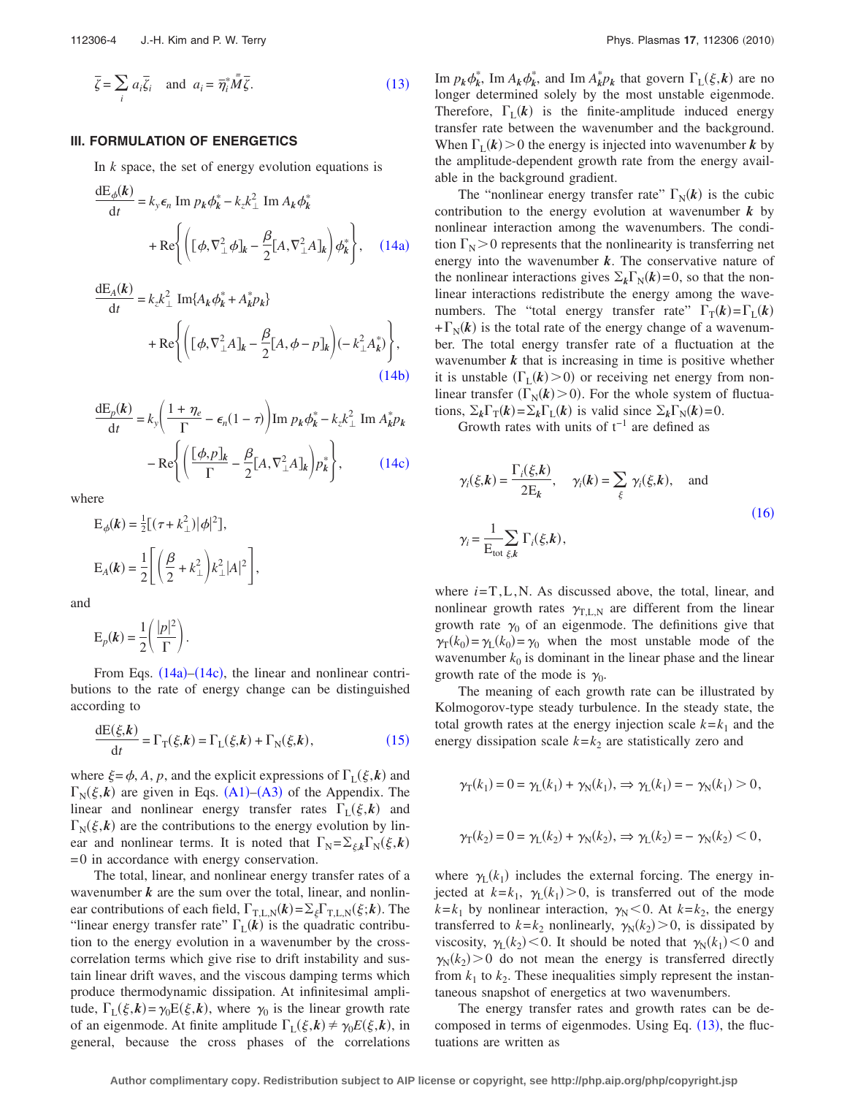<span id="page-3-0"></span>
$$
\overline{\zeta} = \sum_{i} a_i \overline{\zeta}_i \quad \text{and} \quad a_i = \overline{\eta}_i^* \overline{M} \overline{\zeta}.
$$
 (13)

#### **III. FORMULATION OF ENERGETICS**

In *k* space, the set of energy evolution equations is

<span id="page-3-1"></span>
$$
\frac{dE_{\phi}(k)}{dt} = k_{y} \epsilon_{n} \operatorname{Im} p_{k} \phi_{k}^{*} - k_{z} k_{\perp}^{2} \operatorname{Im} A_{k} \phi_{k}^{*} + \operatorname{Re} \left\{ \left[ (\phi, \nabla_{\perp}^{2} \phi]_{k} - \frac{\beta}{2} [A, \nabla_{\perp}^{2} A]_{k} \right] \phi_{k}^{*} \right\}, \quad (14a)
$$

<span id="page-3-2"></span>
$$
\frac{dE_A(k)}{dt} = k_z k_{\perp}^2 \operatorname{Im} \{ A_k \phi_k^* + A_k^* p_k \} + \operatorname{Re} \left\{ \left( [\phi, \nabla_{\perp}^2 A]_k - \frac{\beta}{2} [A, \phi - p]_k \right) (-k_{\perp}^2 A_k^*) \right\},
$$
\n(14b)

<span id="page-3-3"></span>
$$
\frac{dE_p(k)}{dt} = k_y \left( \frac{1 + \eta_e}{\Gamma} - \epsilon_n (1 - \tau) \right) \text{Im } p_k \phi_k^* - k_z k_{\perp}^2 \text{ Im } A_k^* p_k
$$

$$
- \text{Re} \left\{ \left( \frac{[\phi, p]_k}{\Gamma} - \frac{\beta}{2} [A, \nabla_{\perp}^2 A]_k \right) p_k^* \right\},\qquad(14c)
$$

where

$$
E_{\phi}(\mathbf{k}) = \frac{1}{2} [(\tau + k_{\perp}^{2}) | \phi |^{2}],
$$
  
\n
$$
E_{A}(\mathbf{k}) = \frac{1}{2} \left[ \left( \frac{\beta}{2} + k_{\perp}^{2} \right) k_{\perp}^{2} | A |^{2} \right],
$$

and

$$
E_p(\mathbf{k}) = \frac{1}{2} \left( \frac{|p|^2}{\Gamma} \right).
$$

From Eqs.  $(14a)$  $(14a)$  $(14a)$ – $(14c)$  $(14c)$  $(14c)$ , the linear and nonlinear contributions to the rate of energy change can be distinguished according to

<span id="page-3-4"></span>
$$
\frac{\mathrm{d}\mathcal{E}(\xi,\mathbf{k})}{\mathrm{d}t} = \Gamma_{\mathrm{T}}(\xi,\mathbf{k}) = \Gamma_{\mathrm{L}}(\xi,\mathbf{k}) + \Gamma_{\mathrm{N}}(\xi,\mathbf{k}),\tag{15}
$$

where  $\xi = \phi$ , *A*, *p*, and the explicit expressions of  $\Gamma_L(\xi, \mathbf{k})$  and  $\Gamma_{\text{N}}(\xi, k)$  are given in Eqs. ([A1](#page-10-15))–([A3](#page-10-16)) of the Appendix. The linear and nonlinear energy transfer rates  $\Gamma_L(\xi, k)$  and  $\Gamma_{\rm N}(\xi, k)$  are the contributions to the energy evolution by linear and nonlinear terms. It is noted that  $\Gamma_N = \sum_{\xi,k} \Gamma_N(\xi, k)$ =0 in accordance with energy conservation.

The total, linear, and nonlinear energy transfer rates of a wavenumber  $k$  are the sum over the total, linear, and nonlinear contributions of each field,  $\Gamma_{T,L,N}(k) = \sum_{\xi} \Gamma_{T,L,N}(\xi; k)$ . The "linear energy transfer rate"  $\Gamma_L(k)$  is the quadratic contribution to the energy evolution in a wavenumber by the crosscorrelation terms which give rise to drift instability and sustain linear drift waves, and the viscous damping terms which produce thermodynamic dissipation. At infinitesimal amplitude,  $\Gamma_L(\xi, k) = \gamma_0 E(\xi, k)$ , where  $\gamma_0$  is the linear growth rate of an eigenmode. At finite amplitude  $\Gamma_L(\xi, k) \neq \gamma_0 E(\xi, k)$ , in general, because the cross phases of the correlations

Im  $p_k \phi_k^*$ , Im  $A_k \phi_k^*$ , and Im  $A_k^* p_k$  that govern  $\Gamma_L(\xi, k)$  are no longer determined solely by the most unstable eigenmode. Therefore,  $\Gamma_L(k)$  is the finite-amplitude induced energy transfer rate between the wavenumber and the background. When  $\Gamma_L(k) > 0$  the energy is injected into wavenumber *k* by the amplitude-dependent growth rate from the energy available in the background gradient.

The "nonlinear energy transfer rate"  $\Gamma_N(k)$  is the cubic contribution to the energy evolution at wavenumber  $k$  by nonlinear interaction among the wavenumbers. The condition  $\Gamma_N$  > 0 represents that the nonlinearity is transferring net energy into the wavenumber *k*. The conservative nature of the nonlinear interactions gives  $\Sigma_k \Gamma_N(k) = 0$ , so that the nonlinear interactions redistribute the energy among the wavenumbers. The "total energy transfer rate"  $\Gamma_{\text{T}}(k) = \Gamma_{\text{L}}(k)$  $+\Gamma_{\rm N}(k)$  is the total rate of the energy change of a wavenumber. The total energy transfer rate of a fluctuation at the wavenumber *k* that is increasing in time is positive whether it is unstable  $(\Gamma_L(k) > 0)$  or receiving net energy from nonlinear transfer  $(\Gamma_N(k) > 0)$ . For the whole system of fluctuations,  $\Sigma_k \Gamma_{\text{T}}(k) = \Sigma_k \Gamma_{\text{L}}(k)$  is valid since  $\Sigma_k \Gamma_{\text{N}}(k) = 0$ .

Growth rates with units of  $t^{-1}$  are defined as

<span id="page-3-5"></span>
$$
\gamma_i(\xi, k) = \frac{\Gamma_i(\xi, k)}{2E_k}, \quad \gamma_i(k) = \sum_{\xi} \gamma_i(\xi, k), \quad \text{and}
$$

$$
\gamma_i = \frac{1}{E_{\text{tot}}} \sum_{\xi, k} \Gamma_i(\xi, k), \tag{16}
$$

where *i*=T,L,N. As discussed above, the total, linear, and nonlinear growth rates  $\gamma_{\text{TL},N}$  are different from the linear growth rate  $\gamma_0$  of an eigenmode. The definitions give that  $\gamma_T(k_0) = \gamma_L(k_0) = \gamma_0$  when the most unstable mode of the wavenumber  $k_0$  is dominant in the linear phase and the linear growth rate of the mode is  $\gamma_0$ .

The meaning of each growth rate can be illustrated by Kolmogorov-type steady turbulence. In the steady state, the total growth rates at the energy injection scale  $k = k_1$  and the energy dissipation scale  $k = k<sub>2</sub>$  are statistically zero and

$$
\gamma_{\text{T}}(k_1) = 0 = \gamma_{\text{L}}(k_1) + \gamma_{\text{N}}(k_1), \Rightarrow \gamma_{\text{L}}(k_1) = -\gamma_{\text{N}}(k_1) > 0,
$$

$$
\gamma_{T}(k_2) = 0 = \gamma_{L}(k_2) + \gamma_{N}(k_2), \Rightarrow \gamma_{L}(k_2) = -\gamma_{N}(k_2) < 0,
$$

where  $\gamma_L(k_1)$  includes the external forcing. The energy injected at  $k = k_1$ ,  $\gamma_L(k_1) > 0$ , is transferred out of the mode  $k = k_1$  by nonlinear interaction,  $\gamma_N < 0$ . At  $k = k_2$ , the energy transferred to  $k = k_2$  nonlinearly,  $\gamma_N(k_2) > 0$ , is dissipated by viscosity,  $\gamma_L(k_2)$  < 0. It should be noted that  $\gamma_N(k_1)$  < 0 and  $\gamma_N(k_2) > 0$  do not mean the energy is transferred directly from  $k_1$  to  $k_2$ . These inequalities simply represent the instantaneous snapshot of energetics at two wavenumbers.

The energy transfer rates and growth rates can be decomposed in terms of eigenmodes. Using Eq.  $(13)$  $(13)$  $(13)$ , the fluctuations are written as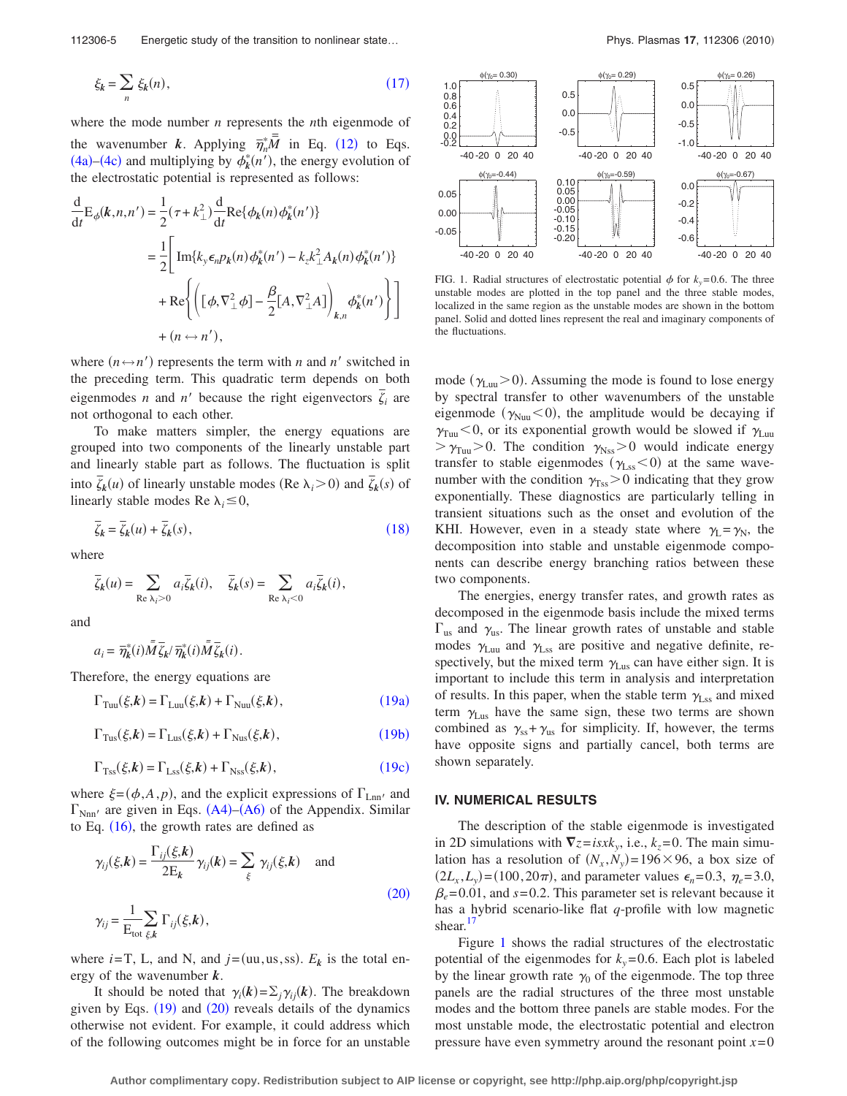112306-5 Energetic study of the transition to nonlinear state...

<span id="page-4-0"></span>
$$
\xi_k = \sum_n \xi_k(n),\tag{17}
$$

where the mode number *n* represents the *n*th eigenmode of the wavenumber *k*. Applying  $\overline{\eta}_n^* \overline{M}$  in Eq. ([12](#page-2-8)) to Eqs. ([4a](#page-1-3))–([4c](#page-1-5)) and multiplying by  $\phi_k^*(n')$ , the energy evolution of the electrostatic potential is represented as follows:

$$
\frac{d}{dt}E_{\phi}(k,n,n') = \frac{1}{2}(\tau + k_{\perp}^{2}) \frac{d}{dt} \text{Re}\{\phi_{k}(n)\phi_{k}^{*}(n')\}
$$
\n
$$
= \frac{1}{2} \Bigg[ \text{Im}\{k_{y}\epsilon_{n}p_{k}(n)\phi_{k}^{*}(n') - k_{z}k_{\perp}^{2}A_{k}(n)\phi_{k}^{*}(n')\}
$$
\n
$$
+ \text{Re}\Bigg\{ \Bigg( [\phi, \nabla_{\perp}^{2}\phi] - \frac{\beta}{2} [A, \nabla_{\perp}^{2}A] \Bigg)_{k,n} \phi_{k}^{*}(n') \Bigg\} \Bigg]
$$
\n
$$
+ (n \leftrightarrow n'),
$$

where  $(n \leftrightarrow n')$  represents the term with *n* and *n'* switched in the preceding term. This quadratic term depends on both eigenmodes *n* and *n'* because the right eigenvectors  $\overline{\zeta}_i$  are not orthogonal to each other.

To make matters simpler, the energy equations are grouped into two components of the linearly unstable part and linearly stable part as follows. The fluctuation is split into  $\bar{\zeta}_k(u)$  of linearly unstable modes (Re  $\lambda_i > 0$ ) and  $\bar{\zeta}_k(s)$  of linearly stable modes Re  $\lambda_i \leq 0$ ,

<span id="page-4-1"></span>
$$
\overline{\zeta}_k = \overline{\zeta}_k(u) + \overline{\zeta}_k(s),\tag{18}
$$

where

$$
\overline{\zeta}_k(u) = \sum_{\text{Re }\lambda_i > 0} a_i \overline{\zeta}_k(i), \quad \overline{\zeta}_k(s) = \sum_{\text{Re }\lambda_i < 0} a_i \overline{\zeta}_k(i),
$$

and

$$
a_i = \overline{\eta}_k^*(i) \overline{\tilde{M}} \overline{\zeta}_k / \overline{\eta}_k^*(i) \overline{\tilde{M}} \overline{\zeta}_k(i).
$$

<span id="page-4-2"></span>Therefore, the energy equations are

$$
\Gamma_{\text{Tuu}}(\xi, \mathbf{k}) = \Gamma_{\text{Luu}}(\xi, \mathbf{k}) + \Gamma_{\text{Nuu}}(\xi, \mathbf{k}), \tag{19a}
$$

<span id="page-4-3"></span>
$$
\Gamma_{\text{Tus}}(\xi, k) = \Gamma_{\text{Lus}}(\xi, k) + \Gamma_{\text{Nus}}(\xi, k), \tag{19b}
$$

<span id="page-4-4"></span>
$$
\Gamma_{\rm Tss}(\xi, k) = \Gamma_{\rm Lss}(\xi, k) + \Gamma_{\rm Nss}(\xi, k), \qquad (19c)
$$

where  $\xi = (\phi, A, p)$ , and the explicit expressions of  $\Gamma_{\text{Lnn}'}$  and  $\Gamma_{\text{Nnn'}}$  are given in Eqs. ([A4](#page-10-17))–([A6](#page-10-18)) of the Appendix. Similar to Eq.  $(16)$  $(16)$  $(16)$ , the growth rates are defined as

<span id="page-4-5"></span>
$$
\gamma_{ij}(\xi, k) = \frac{\Gamma_{ij}(\xi, k)}{2E_k} \gamma_{ij}(k) = \sum_{\xi} \gamma_{ij}(\xi, k) \text{ and}
$$
  

$$
\gamma_{ij} = \frac{1}{E_{\text{tot}} \xi_k} \sum_{\xi, k} \Gamma_{ij}(\xi, k),
$$
 (20)

where  $i = T$ , L, and N, and  $j = (uu,us,ss)$ .  $E_k$  is the total energy of the wavenumber *k*.

It should be noted that  $\gamma_i(k) = \sum_j \gamma_{ij}(k)$ . The breakdown given by Eqs.  $(19)$  $(19)$  $(19)$  and  $(20)$  $(20)$  $(20)$  reveals details of the dynamics otherwise not evident. For example, it could address which of the following outcomes might be in force for an unstable

<span id="page-4-6"></span>

FIG. 1. Radial structures of electrostatic potential  $\phi$  for  $k_y = 0.6$ . The three unstable modes are plotted in the top panel and the three stable modes, localized in the same region as the unstable modes are shown in the bottom panel. Solid and dotted lines represent the real and imaginary components of the fluctuations.

mode ( $\gamma_{\text{Luu}}$  > 0). Assuming the mode is found to lose energy by spectral transfer to other wavenumbers of the unstable eigenmode ( $\gamma_{\text{Nuu}}$ <0), the amplitude would be decaying if  $\gamma_{\text{Tuu}}$  < 0, or its exponential growth would be slowed if  $\gamma_{\text{Luu}}$  $>\gamma_{\text{Tuu}}>0$ . The condition  $\gamma_{\text{Nss}}>0$  would indicate energy transfer to stable eigenmodes  $(\gamma_{\text{Lss}}<0)$  at the same wavenumber with the condition  $\gamma_{\text{Ts}} > 0$  indicating that they grow exponentially. These diagnostics are particularly telling in transient situations such as the onset and evolution of the KHI. However, even in a steady state where  $\gamma_1 = \gamma_N$ , the decomposition into stable and unstable eigenmode components can describe energy branching ratios between these two components.

The energies, energy transfer rates, and growth rates as decomposed in the eigenmode basis include the mixed terms  $\Gamma_{\text{us}}$  and  $\gamma_{\text{us}}$ . The linear growth rates of unstable and stable modes  $\gamma_{\text{Luu}}$  and  $\gamma_{\text{Lss}}$  are positive and negative definite, respectively, but the mixed term  $\gamma_{\text{Lus}}$  can have either sign. It is important to include this term in analysis and interpretation of results. In this paper, when the stable term  $\gamma_{\text{Lss}}$  and mixed term  $\gamma_{\text{Lus}}$  have the same sign, these two terms are shown combined as  $\gamma_{ss} + \gamma_{us}$  for simplicity. If, however, the terms have opposite signs and partially cancel, both terms are shown separately.

## **IV. NUMERICAL RESULTS**

The description of the stable eigenmode is investigated in 2D simulations with  $\nabla z = isx k_y$ , i.e.,  $k_z = 0$ . The main simulation has a resolution of  $(N_x, N_y) = 196 \times 96$ , a box size of  $(2L_x, L_y) = (100, 20\pi)$ , and parameter values  $\epsilon_n = 0.3$ ,  $\eta_e = 3.0$ ,  $\beta_e$ =0.01, and *s*=0.2. This parameter set is relevant because it has a hybrid scenario-like flat *q*-profile with low magnetic shear.<sup>17</sup>

Figure [1](#page-4-6) shows the radial structures of the electrostatic potential of the eigenmodes for  $k_y = 0.6$ . Each plot is labeled by the linear growth rate  $\gamma_0$  of the eigenmode. The top three panels are the radial structures of the three most unstable modes and the bottom three panels are stable modes. For the most unstable mode, the electrostatic potential and electron pressure have even symmetry around the resonant point  $x=0$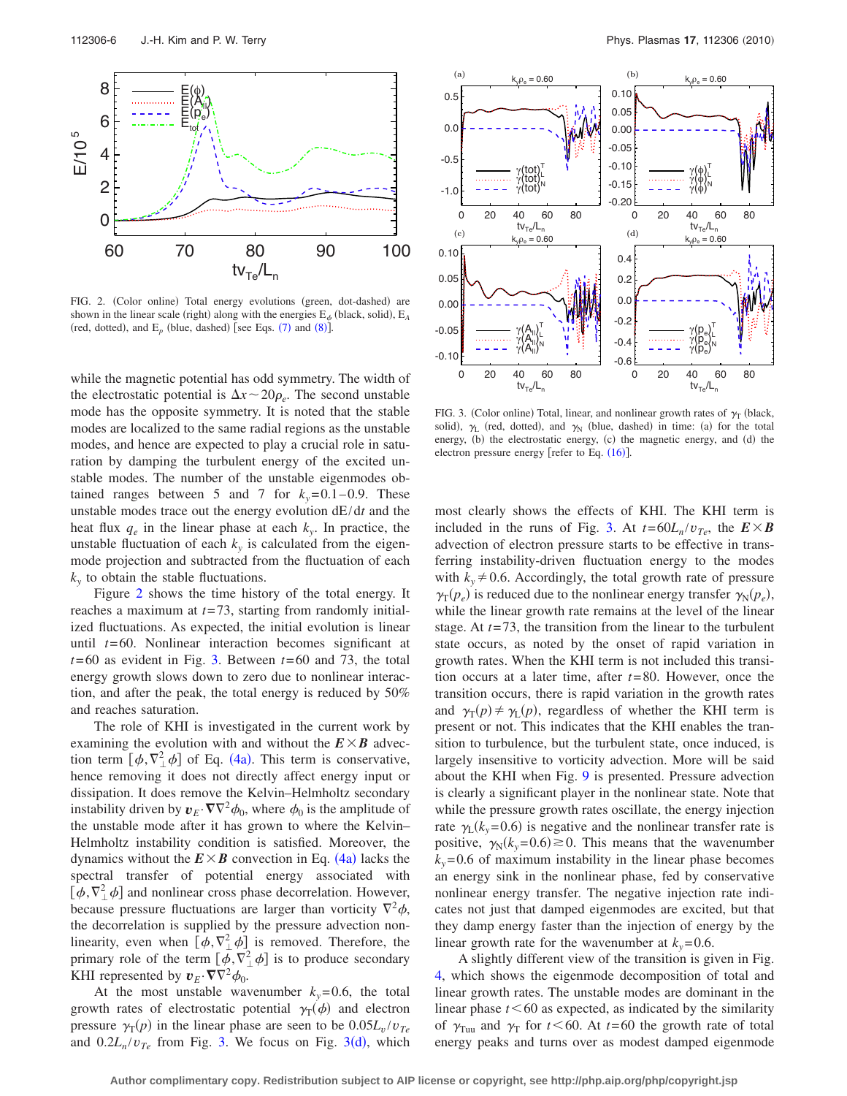<span id="page-5-0"></span>

FIG. 2. (Color online) Total energy evolutions (green, dot-dashed) are shown in the linear scale (right) along with the energies  $E_{\phi}$  (black, solid),  $E_A$ (red, dotted), and  $E_p$  (blue, dashed) [see Eqs.  $(7)$  $(7)$  $(7)$  and  $(8)$  $(8)$  $(8)$ ].

while the magnetic potential has odd symmetry. The width of the electrostatic potential is  $\Delta x \sim 20 \rho_e$ . The second unstable mode has the opposite symmetry. It is noted that the stable modes are localized to the same radial regions as the unstable modes, and hence are expected to play a crucial role in saturation by damping the turbulent energy of the excited unstable modes. The number of the unstable eigenmodes obtained ranges between 5 and 7 for  $k_y=0.1-0.9$ . These unstable modes trace out the energy evolution dE/d*t* and the heat flux  $q_e$  in the linear phase at each  $k_v$ . In practice, the unstable fluctuation of each  $k_y$  is calculated from the eigenmode projection and subtracted from the fluctuation of each  $k_{y}$  to obtain the stable fluctuations.

Figure [2](#page-5-0) shows the time history of the total energy. It reaches a maximum at *t*=73, starting from randomly initialized fluctuations. As expected, the initial evolution is linear until *t*=60. Nonlinear interaction becomes significant at *t*=60 as evident in Fig. [3.](#page-5-1) Between *t*=60 and 73, the total energy growth slows down to zero due to nonlinear interaction, and after the peak, the total energy is reduced by 50% and reaches saturation.

The role of KHI is investigated in the current work by examining the evolution with and without the  $E \times B$  advection term  $[\phi, \nabla^2_{\perp} \phi]$  of Eq. ([4a](#page-1-3)). This term is conservative, hence removing it does not directly affect energy input or dissipation. It does remove the Kelvin–Helmholtz secondary instability driven by  $v_E \cdot \nabla \nabla^2 \phi_0$ , where  $\phi_0$  is the amplitude of the unstable mode after it has grown to where the Kelvin– Helmholtz instability condition is satisfied. Moreover, the dynamics without the  $E \times B$  convection in Eq. ([4a](#page-1-3)) lacks the spectral transfer of potential energy associated with  $[\phi, \nabla^2_{\perp} \phi]$  and nonlinear cross phase decorrelation. However, because pressure fluctuations are larger than vorticity  $\nabla^2 \phi$ , the decorrelation is supplied by the pressure advection nonlinearity, even when  $[\phi, \nabla^2_{\perp} \phi]$  is removed. Therefore, the primary role of the term  $\left[\phi, \nabla^2_{\perp} \phi\right]$  is to produce secondary KHI represented by  $v_E \cdot \nabla \nabla^2 \phi_0$ .

At the most unstable wavenumber  $k_y=0.6$ , the total growth rates of electrostatic potential  $\gamma_T(\phi)$  and electron pressure  $\gamma_T(p)$  in the linear phase are seen to be  $0.05L_v/v_{Te}$ an[d](#page-5-1)  $0.2L_n/v_{Te}$  from Fig. [3.](#page-5-1) We focus on Fig. 3(d), which

<span id="page-5-1"></span>

FIG. 3. (Color online) Total, linear, and nonlinear growth rates of  $\gamma_T$  (black, solid),  $\gamma_L$  (red, dotted), and  $\gamma_N$  (blue, dashed) in time: (a) for the total energy, (b) the electrostatic energy, (c) the magnetic energy, and (d) the electron pressure energy [refer to Eq.  $(16)$  $(16)$  $(16)$ ].

most clearly shows the effects of KHI. The KHI term is included in the runs of Fig. [3.](#page-5-1) At  $t = 60L_n/v_{Te}$ , the  $E \times B$ advection of electron pressure starts to be effective in transferring instability-driven fluctuation energy to the modes with  $k_y \neq 0.6$ . Accordingly, the total growth rate of pressure  $\gamma_{\rm T}(p_e)$  is reduced due to the nonlinear energy transfer  $\gamma_{\rm N}(p_e)$ , while the linear growth rate remains at the level of the linear stage. At *t*=73, the transition from the linear to the turbulent state occurs, as noted by the onset of rapid variation in growth rates. When the KHI term is not included this transition occurs at a later time, after *t*=80. However, once the transition occurs, there is rapid variation in the growth rates and  $\gamma_T(p) \neq \gamma_L(p)$ , regardless of whether the KHI term is present or not. This indicates that the KHI enables the transition to turbulence, but the turbulent state, once induced, is largely insensitive to vorticity advection. More will be said about the KHI when Fig. [9](#page-7-0) is presented. Pressure advection is clearly a significant player in the nonlinear state. Note that while the pressure growth rates oscillate, the energy injection rate  $\gamma_L(k_y=0.6)$  is negative and the nonlinear transfer rate is positive,  $\gamma_N(k_y=0.6) \gtrsim 0$ . This means that the wavenumber  $k_y$ =0.6 of maximum instability in the linear phase becomes an energy sink in the nonlinear phase, fed by conservative nonlinear energy transfer. The negative injection rate indicates not just that damped eigenmodes are excited, but that they damp energy faster than the injection of energy by the linear growth rate for the wavenumber at  $k_y = 0.6$ .

A slightly different view of the transition is given in Fig. [4,](#page-6-0) which shows the eigenmode decomposition of total and linear growth rates. The unstable modes are dominant in the linear phase  $t < 60$  as expected, as indicated by the similarity of  $\gamma_{\text{Tuu}}$  and  $\gamma_{\text{T}}$  for  $t \leq 60$ . At  $t = 60$  the growth rate of total energy peaks and turns over as modest damped eigenmode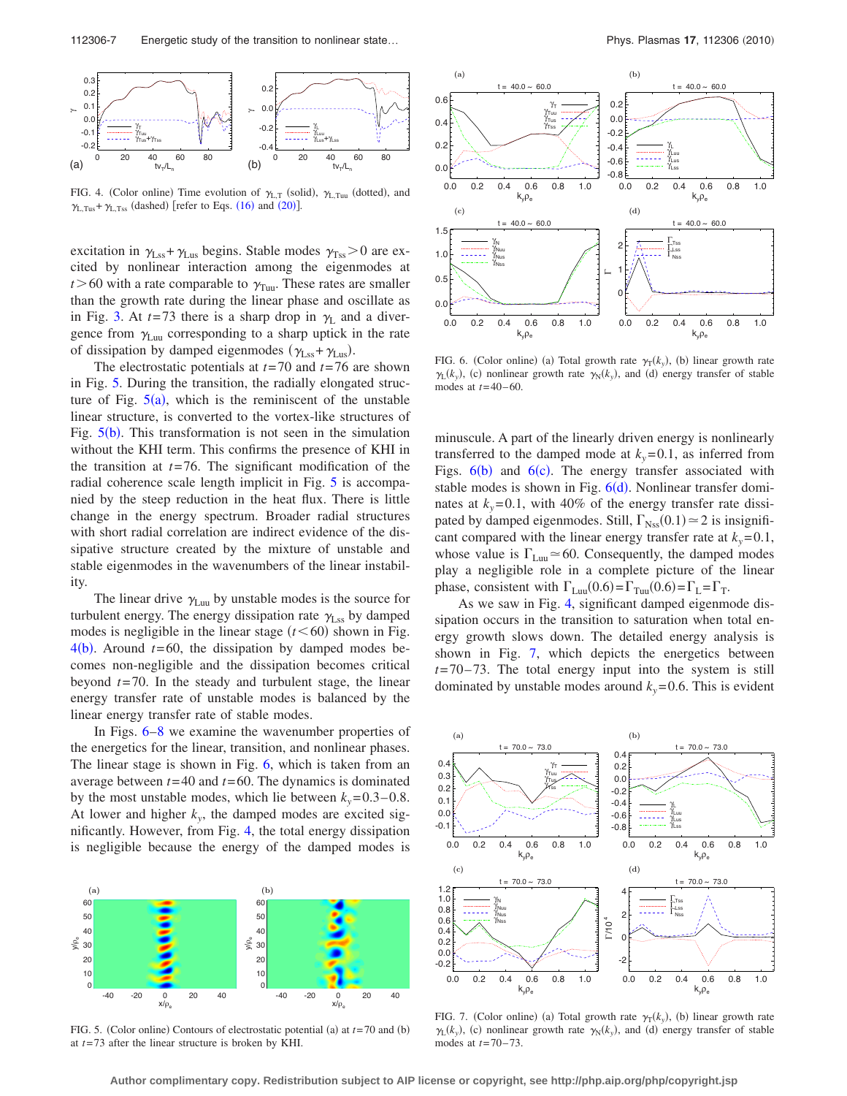<span id="page-6-0"></span>

FIG. 4. (Color online) Time evolution of  $\gamma_{L,T}$  (solid),  $\gamma_{L,Tuu}$  (dotted), and  $\gamma_{L,Tus} + \gamma_{L,Tss}$  (dashed) [refer to Eqs. ([16](#page-3-5)) and ([20](#page-4-5))].

excitation in  $\gamma_{\text{Lss}} + \gamma_{\text{Lus}}$  begins. Stable modes  $\gamma_{\text{Ts}} > 0$  are excited by nonlinear interaction among the eigenmodes at  $t > 60$  with a rate comparable to  $\gamma_{\text{Tuu}}$ . These rates are smaller than the growth rate during the linear phase and oscillate as in Fig. [3.](#page-5-1) At  $t=73$  there is a sharp drop in  $\gamma_L$  and a divergence from  $\gamma_{\text{Luu}}$  corresponding to a sharp uptick in the rate of dissipation by damped eigenmodes  $(\gamma_{\text{Lss}} + \gamma_{\text{Lus}})$ .

The electrostatic potentials at *t*=70 and *t*=76 are shown in Fig. [5.](#page-6-1) During the transition, the radially elongated structure of Fig.  $5(a)$  $5(a)$ , which is the reminiscent of the unstable linear structure, is converted to the vortex-like structures of Fig.  $5(b)$  $5(b)$ . This transformation is not seen in the simulation without the KHI term. This confirms the presence of KHI in the transition at  $t=76$ . The significant modification of the radial coherence scale length implicit in Fig. [5](#page-6-1) is accompanied by the steep reduction in the heat flux. There is little change in the energy spectrum. Broader radial structures with short radial correlation are indirect evidence of the dissipative structure created by the mixture of unstable and stable eigenmodes in the wavenumbers of the linear instability.

The linear drive  $\gamma_{\text{Luu}}$  by unstable modes is the source for turbulent energy. The energy dissipation rate  $\gamma_{\text{Lss}}$  by damped modes is negligible in the linear stage  $(t \le 60)$  shown in Fig.  $4(b)$  $4(b)$ . Around  $t=60$ , the dissipation by damped modes becomes non-negligible and the dissipation becomes critical beyond *t*=70. In the steady and turbulent stage, the linear energy transfer rate of unstable modes is balanced by the linear energy transfer rate of stable modes.

In Figs. [6–](#page-6-2)[8](#page-7-1) we examine the wavenumber properties of the energetics for the linear, transition, and nonlinear phases. The linear stage is shown in Fig. [6,](#page-6-2) which is taken from an average between *t*=40 and *t*=60. The dynamics is dominated by the most unstable modes, which lie between  $k_y = 0.3 - 0.8$ . At lower and higher  $k_y$ , the damped modes are excited significantly. However, from Fig. [4,](#page-6-0) the total energy dissipation is negligible because the energy of the damped modes is

<span id="page-6-1"></span>

FIG. 5. (Color online) Contours of electrostatic potential (a) at  $t = 70$  and (b) at *t*=73 after the linear structure is broken by KHI.

<span id="page-6-2"></span>

FIG. 6. (Color online) (a) Total growth rate  $\gamma_T(k_y)$ , (b) linear growth rate  $\gamma_L(k_y)$ , (c) nonlinear growth rate  $\gamma_N(k_y)$ , and (d) energy transfer of stable modes at *t*=40–60.

minuscule. A part of the linearly driven energy is nonlinearly transferred to the damped mode at  $k_y = 0.1$ , as inferred from Figs.  $6(b)$  $6(b)$  and  $6(c)$ . The energy transfer associated with stable modes is shown in Fig.  $6(d)$  $6(d)$ . Nonlinear transfer dominates at  $k_y = 0.1$ , with 40% of the energy transfer rate dissipated by damped eigenmodes. Still,  $\Gamma_{\text{Nss}}(0.1) \approx 2$  is insignificant compared with the linear energy transfer rate at  $k_y = 0.1$ , whose value is  $\Gamma_{\text{Luu}}$   $\approx$  60. Consequently, the damped modes play a negligible role in a complete picture of the linear phase, consistent with  $\Gamma_{\text{Luu}}(0.6) = \Gamma_{\text{Tuu}}(0.6) = \Gamma_{\text{L}} = \Gamma_{\text{T}}$ .

As we saw in Fig. [4,](#page-6-0) significant damped eigenmode dissipation occurs in the transition to saturation when total energy growth slows down. The detailed energy analysis is shown in Fig. [7,](#page-6-3) which depicts the energetics between *t*=70–73. The total energy input into the system is still dominated by unstable modes around  $k_y = 0.6$ . This is evident

<span id="page-6-3"></span>

FIG. 7. (Color online) (a) Total growth rate  $\gamma_T(k_y)$ , (b) linear growth rate  $\gamma_L(k_y)$ , (c) nonlinear growth rate  $\gamma_N(k_y)$ , and (d) energy transfer of stable modes at *t*=70–73.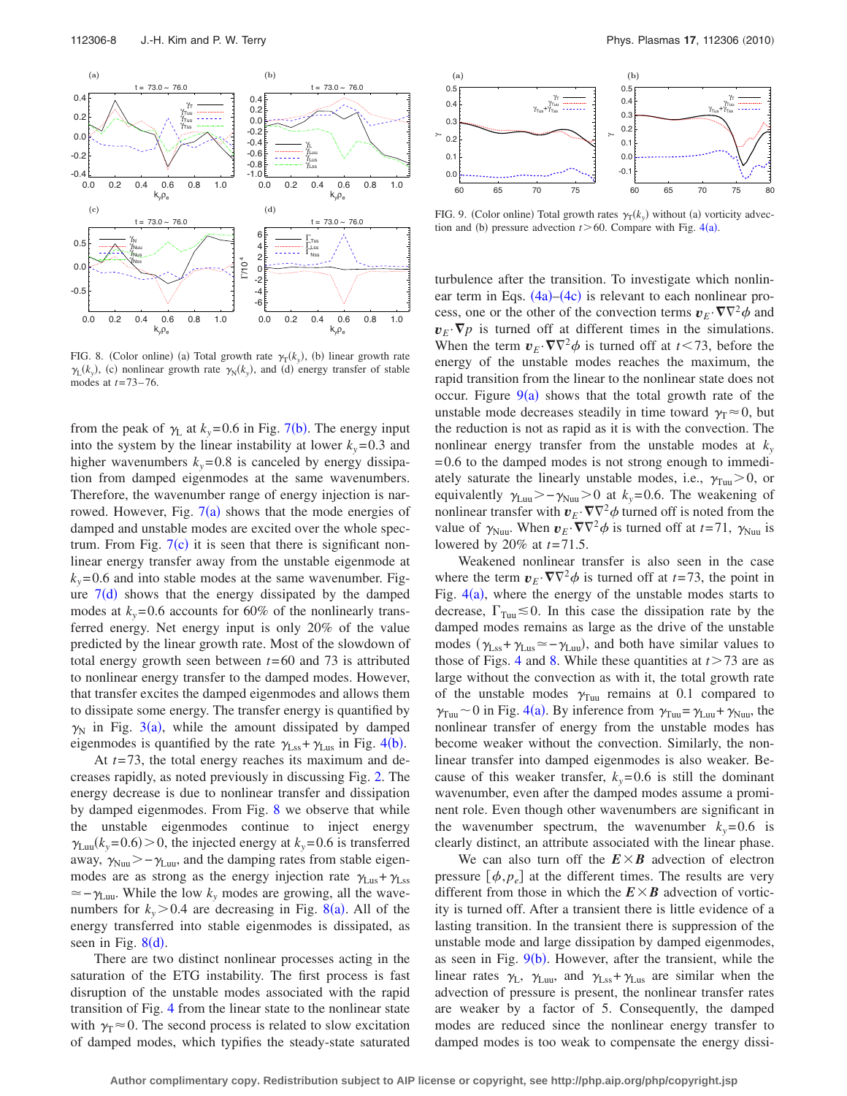<span id="page-7-1"></span>

FIG. 8. (Color online) (a) Total growth rate  $\gamma_T(k_y)$ , (b) linear growth rate  $\gamma_L(k_y)$ , (c) nonlinear growth rate  $\gamma_N(k_y)$ , and (d) energy transfer of stable modes at *t*=73–76.

from the peak of  $\gamma_L$  at  $k_y$ =0.6 in Fig. [7](#page-6-3)(b). The energy input into the system by the linear instability at lower  $k_y = 0.3$  and higher wavenumbers  $k_y = 0.8$  is canceled by energy dissipation from damped eigenmodes at the same wavenumbers. Therefore, the wavenumber range of energy injection is narrowed. However, Fig.  $7(a)$  $7(a)$  shows that the mode energies of damped and unstable modes are excited over the whole spectrum. From Fig.  $7(c)$  $7(c)$  it is seen that there is significant nonlinear energy transfer away from the unstable eigenmode at  $k_y$ =0.6 and into stable modes at the same wavenumber. Figure  $7(d)$  $7(d)$  shows that the energy dissipated by the damped modes at  $k_y$ =0.6 accounts for 60% of the nonlinearly transferred energy. Net energy input is only 20% of the value predicted by the linear growth rate. Most of the slowdown of total energy growth seen between *t*=60 and 73 is attributed to nonlinear energy transfer to the damped modes. However, that transfer excites the damped eigenmodes and allows them to dissipate some energy. The transfer energy is quantified by  $\gamma_N$  in Fig. [3](#page-5-1)(a), while the amount dissipated by damped eigenmodes is quantified by the rate  $\gamma_{\text{Lss}} + \gamma_{\text{Lus}}$  in Fig. [4](#page-6-0)(b).

At *t*=73, the total energy reaches its maximum and decreases rapidly, as noted previously in discussing Fig. [2.](#page-5-0) The energy decrease is due to nonlinear transfer and dissipation by damped eigenmodes. From Fig. [8](#page-7-1) we observe that while the unstable eigenmodes continue to inject energy  $\gamma_{\text{Luu}}(k_y=0.6) > 0$ , the injected energy at  $k_y=0.6$  is transferred away,  $\gamma_{\text{Nuu}}$  > –  $\gamma_{\text{Luu}}$ , and the damping rates from stable eigenmodes are as strong as the energy injection rate  $\gamma_{\text{Lus}} + \gamma_{\text{Lss}}$  $\approx$  –  $\gamma_{\text{Lun}}$ . While the low  $k_y$  modes are growing, all the wavenumbers for  $k_y > 0.4$  are decreasing in Fig. [8](#page-7-1)(a). All of the energy transferred into stable eigenmodes is dissipated, as seen in Fig.  $8(d)$  $8(d)$ .

There are two distinct nonlinear processes acting in the saturation of the ETG instability. The first process is fast disruption of the unstable modes associated with the rapid transition of Fig. [4](#page-6-0) from the linear state to the nonlinear state with  $\gamma_T \approx 0$ . The second process is related to slow excitation of damped modes, which typifies the steady-state saturated

<span id="page-7-0"></span>

FIG. 9. (Color online) Total growth rates  $\gamma_T(k_y)$  without (a) vorticity advection and (b) pressure advection  $t > 60$ . Compare with Fig. [4](#page-6-0)(a).

turbulence after the transition. To investigate which nonlinear term in Eqs.  $(4a)$  $(4a)$  $(4a)$ – $(4c)$  $(4c)$  $(4c)$  is relevant to each nonlinear process, one or the other of the convection terms  $v_E \cdot \nabla \nabla^2 \phi$  and  $v_E \cdot \nabla p$  is turned off at different times in the simulations. When the term  $v_E \cdot \nabla \nabla^2 \phi$  is turned off at  $t < 73$ , before the energy of the unstable modes reaches the maximum, the rapid transition from the linear to the nonlinear state does not occur. Figure  $9(a)$  $9(a)$  shows that the total growth rate of the unstable mode decreases steadily in time toward  $\gamma_T \approx 0$ , but the reduction is not as rapid as it is with the convection. The nonlinear energy transfer from the unstable modes at  $k_y$ =0.6 to the damped modes is not strong enough to immediately saturate the linearly unstable modes, i.e.,  $\gamma_{\text{Tu}} > 0$ , or equivalently  $\gamma_{\text{Luu}} > -\gamma_{\text{Nuu}} > 0$  at  $k_y = 0.6$ . The weakening of nonlinear transfer with  $v_E \cdot \nabla \nabla^2 \phi$  turned off is noted from the value of  $\gamma_{\text{Nuu}}$ . When  $v_E \cdot \nabla \nabla^2 \phi$  is turned off at  $t = 71$ ,  $\gamma_{\text{Nuu}}$  is lowered by 20% at *t*=71.5.

Weakened nonlinear transfer is also seen in the case where the term  $v_E \cdot \nabla \nabla^2 \phi$  is turned off at *t*=73, the point in Fig.  $4(a)$  $4(a)$ , where the energy of the unstable modes starts to decrease,  $\Gamma_{\text{Tw}} \lesssim 0$ . In this case the dissipation rate by the damped modes remains as large as the drive of the unstable modes  $(\gamma_{\text{Lss}}+\gamma_{\text{Lus}}\simeq-\gamma_{\text{Luu}})$ , and both have similar values to those of Figs. [4](#page-6-0) and [8.](#page-7-1) While these quantities at  $t > 73$  are as large without the convection as with it, the total growth rate of the unstable modes  $\gamma_{\text{Tuu}}$  remains at 0.1 compared to  $\gamma_{\text{Tuu}}$  ~ 0 in Fig. [4](#page-6-0)(a). By inference from  $\gamma_{\text{Tuu}} = \gamma_{\text{Luu}} + \gamma_{\text{Nuu}}$ , the nonlinear transfer of energy from the unstable modes has become weaker without the convection. Similarly, the nonlinear transfer into damped eigenmodes is also weaker. Because of this weaker transfer,  $k_y = 0.6$  is still the dominant wavenumber, even after the damped modes assume a prominent role. Even though other wavenumbers are significant in the wavenumber spectrum, the wavenumber  $k_y = 0.6$  is clearly distinct, an attribute associated with the linear phase.

We can also turn off the  $E \times B$  advection of electron pressure  $[\phi, p_e]$  at the different times. The results are very different from those in which the  $E \times B$  advection of vorticity is turned off. After a transient there is little evidence of a lasting transition. In the transient there is suppression of the unstable mode and large dissipation by damped eigenmodes, as seen in Fig.  $9(b)$  $9(b)$ . However, after the transient, while the linear rates  $\gamma_L$ ,  $\gamma_{Luu}$ , and  $\gamma_{Lss} + \gamma_{Lus}$  are similar when the advection of pressure is present, the nonlinear transfer rates are weaker by a factor of 5. Consequently, the damped modes are reduced since the nonlinear energy transfer to damped modes is too weak to compensate the energy dissi-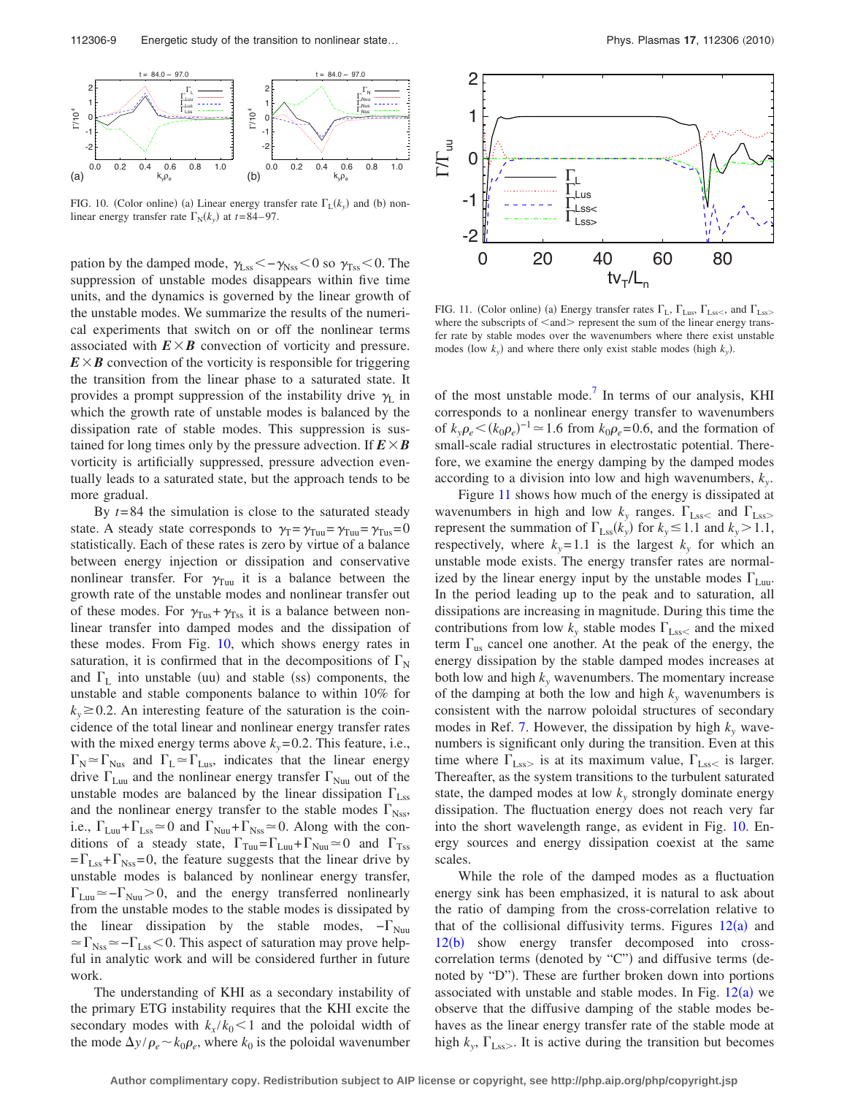<span id="page-8-0"></span>

FIG. 10. (Color online) (a) Linear energy transfer rate  $\Gamma_L(k_y)$  and (b) nonlinear energy transfer rate  $\Gamma_N(k_y)$  at  $t=84-97$ .

pation by the damped mode,  $\gamma_{\rm Lss} < -\gamma_{\rm Nss} < 0$  so  $\gamma_{\rm Tss} < 0$ . The suppression of unstable modes disappears within five time units, and the dynamics is governed by the linear growth of the unstable modes. We summarize the results of the numerical experiments that switch on or off the nonlinear terms associated with  $E \times B$  convection of vorticity and pressure.  $E \times B$  convection of the vorticity is responsible for triggering the transition from the linear phase to a saturated state. It provides a prompt suppression of the instability drive  $\gamma_L$  in which the growth rate of unstable modes is balanced by the dissipation rate of stable modes. This suppression is sustained for long times only by the pressure advection. If  $E \times B$ vorticity is artificially suppressed, pressure advection eventually leads to a saturated state, but the approach tends to be more gradual.

By  $t=84$  the simulation is close to the saturated steady state. A steady state corresponds to  $\gamma_T = \gamma_{Tuu} = \gamma_{Tuu} = \gamma_{Tus} = 0$ statistically. Each of these rates is zero by virtue of a balance between energy injection or dissipation and conservative nonlinear transfer. For  $\gamma_{\text{Tuu}}$  it is a balance between the growth rate of the unstable modes and nonlinear transfer out of these modes. For  $\gamma_{\text{Tus}} + \gamma_{\text{Tss}}$  it is a balance between nonlinear transfer into damped modes and the dissipation of these modes. From Fig. [10,](#page-8-0) which shows energy rates in saturation, it is confirmed that in the decompositions of  $\Gamma_{\rm N}$ and  $\Gamma$ <sub>L</sub> into unstable (uu) and stable (ss) components, the unstable and stable components balance to within 10% for  $k_v \geq 0.2$ . An interesting feature of the saturation is the coincidence of the total linear and nonlinear energy transfer rates with the mixed energy terms above  $k_y = 0.2$ . This feature, i.e.,  $\Gamma_{\text{N}} \approx \Gamma_{\text{Nus}}$  and  $\Gamma_{\text{L}} \approx \Gamma_{\text{Lus}}$ , indicates that the linear energy drive  $\Gamma_{\text{Luu}}$  and the nonlinear energy transfer  $\Gamma_{\text{Nuu}}$  out of the unstable modes are balanced by the linear dissipation  $\Gamma_{\text{Lss}}$ and the nonlinear energy transfer to the stable modes  $\Gamma_{\text{Nss}}$ , i.e.,  $\Gamma_{\text{Luu}} + \Gamma_{\text{Lss}} \approx 0$  and  $\Gamma_{\text{Nuu}} + \Gamma_{\text{Nss}} \approx 0$ . Along with the conditions of a steady state,  $\Gamma_{\text{Tuu}} = \Gamma_{\text{Luu}} + \Gamma_{\text{Nuu}} \approx 0$  and  $\Gamma_{\text{Ts}}$  $=\Gamma_{\text{Lss}}+\Gamma_{\text{Nss}}=0$ , the feature suggests that the linear drive by unstable modes is balanced by nonlinear energy transfer,  $\Gamma_{\text{Lun}} \approx -\Gamma_{\text{Nun}} > 0$ , and the energy transferred nonlinearly from the unstable modes to the stable modes is dissipated by the linear dissipation by the stable modes,  $-\Gamma_{\text{Nun}}$  $\simeq\Gamma_\mathrm{Nss}\simeq-\Gamma_\mathrm{Lss}<0.$  This aspect of saturation may prove helpful in analytic work and will be considered further in future work.

The understanding of KHI as a secondary instability of the primary ETG instability requires that the KHI excite the secondary modes with  $k_x/k_0 < 1$  and the poloidal width of the mode  $\Delta y / \rho_e \sim k_0 \rho_e$ , where  $k_0$  is the poloidal wavenumber

<span id="page-8-1"></span>

FIG. 11. (Color online) (a) Energy transfer rates  $\Gamma_{L}$ ,  $\Gamma_{Lus}$ ,  $\Gamma_{Lss}$ , and  $\Gamma_{Lss}$ where the subscripts of  $\langle$ and $\rangle$  represent the sum of the linear energy transfer rate by stable modes over the wavenumbers where there exist unstable modes (low  $k_y$ ) and where there only exist stable modes (high  $k_y$ ).

of the most unstable mode.<sup>7</sup> In terms of our analysis, KHI corresponds to a nonlinear energy transfer to wavenumbers of  $k_y \rho_e < (k_0 \rho_e)^{-1} \approx 1.6$  from  $k_0 \rho_e = 0.6$ , and the formation of small-scale radial structures in electrostatic potential. Therefore, we examine the energy damping by the damped modes according to a division into low and high wavenumbers, *ky*.

Figure [11](#page-8-1) shows how much of the energy is dissipated at wavenumbers in high and low  $k_y$  ranges.  $\Gamma_{Lss}$  and  $\Gamma_{Lss}$ represent the summation of  $\Gamma_{\text{Lss}}(k_y)$  for  $k_y \le 1.1$  and  $k_y > 1.1$ , respectively, where  $k_y = 1.1$  is the largest  $k_y$  for which an unstable mode exists. The energy transfer rates are normalized by the linear energy input by the unstable modes  $\Gamma_{\text{Luu}}$ . In the period leading up to the peak and to saturation, all dissipations are increasing in magnitude. During this time the contributions from low  $k_y$  stable modes  $\Gamma_{\text{Lss}}$  and the mixed term  $\Gamma_{\text{us}}$  cancel one another. At the peak of the energy, the energy dissipation by the stable damped modes increases at both low and high  $k_y$  wavenumbers. The momentary increase of the damping at both the low and high  $k_y$  wavenumbers is consistent with the narrow poloidal structures of secondary modes in Ref. [7.](#page-10-5) However, the dissipation by high  $k_y$  wavenumbers is significant only during the transition. Even at this time where  $\Gamma_{\text{Lss}}$  is at its maximum value,  $\Gamma_{\text{Lss}}$  is larger. Thereafter, as the system transitions to the turbulent saturated state, the damped modes at low  $k_y$  strongly dominate energy dissipation. The fluctuation energy does not reach very far into the short wavelength range, as evident in Fig. [10.](#page-8-0) Energy sources and energy dissipation coexist at the same scales.

While the role of the damped modes as a fluctuation energy sink has been emphasized, it is natural to ask about the ratio of damping from the cross-correlation relative to that of the collisional diffusivity terms. Figures  $12(a)$  $12(a)$  and [12](#page-9-0)(b) show energy transfer decomposed into crosscorrelation terms (denoted by "C") and diffusive terms (denoted by "D"). These are further broken down into portions associated with unstable and stable modes. In Fig.  $12(a)$  $12(a)$  we observe that the diffusive damping of the stable modes behaves as the linear energy transfer rate of the stable mode at high  $k_y$ ,  $\Gamma_{\text{Lss}}$ . It is active during the transition but becomes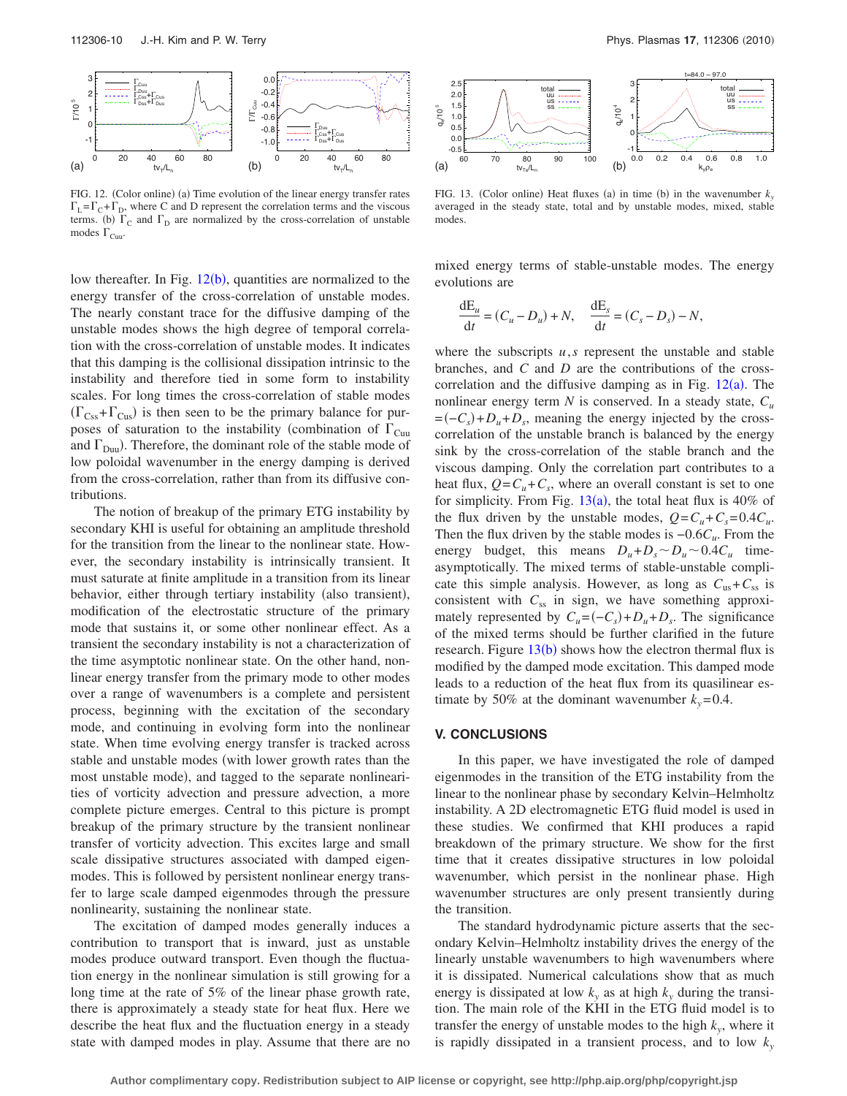<span id="page-9-0"></span>

FIG. 12. (Color online) (a) Time evolution of the linear energy transfer rates  $\Gamma_L = \Gamma_C + \Gamma_D$ , where C and D represent the correlation terms and the viscous terms. (b)  $\Gamma_C$  and  $\Gamma_D$  are normalized by the cross-correlation of unstable modes  $\Gamma_{\text{Cuu}}$ .

low thereafter. In Fig.  $12(b)$  $12(b)$ , quantities are normalized to the energy transfer of the cross-correlation of unstable modes. The nearly constant trace for the diffusive damping of the unstable modes shows the high degree of temporal correlation with the cross-correlation of unstable modes. It indicates that this damping is the collisional dissipation intrinsic to the instability and therefore tied in some form to instability scales. For long times the cross-correlation of stable modes  $(\Gamma_{\text{Css}} + \Gamma_{\text{Cus}})$  is then seen to be the primary balance for purposes of saturation to the instability (combination of  $\Gamma_{\text{Cuu}}$ and  $\Gamma_{\text{Duu}}$ ). Therefore, the dominant role of the stable mode of low poloidal wavenumber in the energy damping is derived from the cross-correlation, rather than from its diffusive contributions.

The notion of breakup of the primary ETG instability by secondary KHI is useful for obtaining an amplitude threshold for the transition from the linear to the nonlinear state. However, the secondary instability is intrinsically transient. It must saturate at finite amplitude in a transition from its linear behavior, either through tertiary instability (also transient), modification of the electrostatic structure of the primary mode that sustains it, or some other nonlinear effect. As a transient the secondary instability is not a characterization of the time asymptotic nonlinear state. On the other hand, nonlinear energy transfer from the primary mode to other modes over a range of wavenumbers is a complete and persistent process, beginning with the excitation of the secondary mode, and continuing in evolving form into the nonlinear state. When time evolving energy transfer is tracked across stable and unstable modes (with lower growth rates than the most unstable mode), and tagged to the separate nonlinearities of vorticity advection and pressure advection, a more complete picture emerges. Central to this picture is prompt breakup of the primary structure by the transient nonlinear transfer of vorticity advection. This excites large and small scale dissipative structures associated with damped eigenmodes. This is followed by persistent nonlinear energy transfer to large scale damped eigenmodes through the pressure nonlinearity, sustaining the nonlinear state.

The excitation of damped modes generally induces a contribution to transport that is inward, just as unstable modes produce outward transport. Even though the fluctuation energy in the nonlinear simulation is still growing for a long time at the rate of 5% of the linear phase growth rate, there is approximately a steady state for heat flux. Here we describe the heat flux and the fluctuation energy in a steady state with damped modes in play. Assume that there are no

<span id="page-9-1"></span>

FIG. 13. (Color online) Heat fluxes (a) in time (b) in the wavenumber  $k_y$ averaged in the steady state, total and by unstable modes, mixed, stable modes.

mixed energy terms of stable-unstable modes. The energy evolutions are

$$
\frac{\mathrm{d}E_u}{\mathrm{d}t} = (C_u - D_u) + N, \quad \frac{\mathrm{d}E_s}{\mathrm{d}t} = (C_s - D_s) - N,
$$

where the subscripts  $u$ , $s$  represent the unstable and stable branches, and *C* and *D* are the contributions of the crosscorrelation and the diffusive damping as in Fig.  $12(a)$  $12(a)$ . The nonlinear energy term  $N$  is conserved. In a steady state,  $C_u$  $= (-C_s) + D_u + D_s$ , meaning the energy injected by the crosscorrelation of the unstable branch is balanced by the energy sink by the cross-correlation of the stable branch and the viscous damping. Only the correlation part contributes to a heat flux,  $Q = C_u + C_s$ , where an overall constant is set to one for simplicity. From Fig.  $13(a)$  $13(a)$ , the total heat flux is 40% of the flux driven by the unstable modes,  $Q = C_u + C_s = 0.4C_u$ . Then the flux driven by the stable modes is −0.6*Cu*. From the energy budget, this means  $D_u + D_s \sim D_u \sim 0.4 C_u$  timeasymptotically. The mixed terms of stable-unstable complicate this simple analysis. However, as long as  $C_{us} + C_{ss}$  is consistent with  $C_{ss}$  in sign, we have something approximately represented by  $C_u = (-C_s) + D_u + D_s$ . The significance of the mixed terms should be further clarified in the future research. Figure  $13(b)$  $13(b)$  shows how the electron thermal flux is modified by the damped mode excitation. This damped mode leads to a reduction of the heat flux from its quasilinear estimate by 50% at the dominant wavenumber  $k_y = 0.4$ .

#### **V. CONCLUSIONS**

In this paper, we have investigated the role of damped eigenmodes in the transition of the ETG instability from the linear to the nonlinear phase by secondary Kelvin–Helmholtz instability. A 2D electromagnetic ETG fluid model is used in these studies. We confirmed that KHI produces a rapid breakdown of the primary structure. We show for the first time that it creates dissipative structures in low poloidal wavenumber, which persist in the nonlinear phase. High wavenumber structures are only present transiently during the transition.

The standard hydrodynamic picture asserts that the secondary Kelvin–Helmholtz instability drives the energy of the linearly unstable wavenumbers to high wavenumbers where it is dissipated. Numerical calculations show that as much energy is dissipated at low  $k_y$  as at high  $k_y$  during the transition. The main role of the KHI in the ETG fluid model is to transfer the energy of unstable modes to the high  $k<sub>v</sub>$ , where it is rapidly dissipated in a transient process, and to low  $k_y$